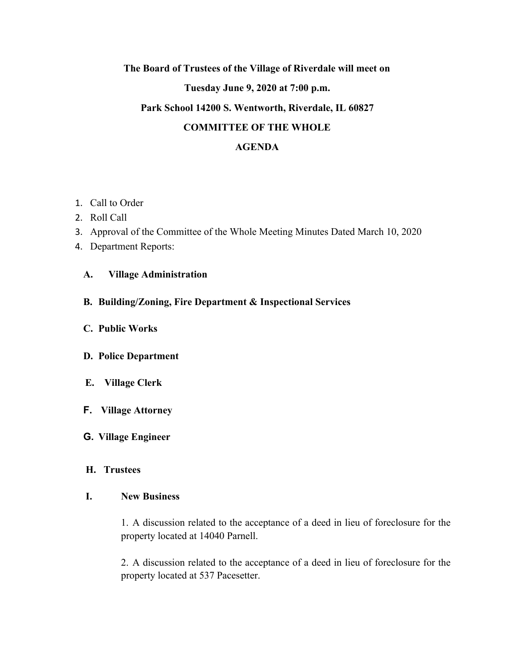# **The Board of Trustees of the Village of Riverdale will meet on Tuesday June 9, 2020 at 7:00 p.m. Park School 14200 S. Wentworth, Riverdale, IL 60827 COMMITTEE OF THE WHOLE**

#### **AGENDA**

- 1. Call to Order
- 2. Roll Call
- 3. Approval of the Committee of the Whole Meeting Minutes Dated March 10, 2020
- 4. Department Reports:

## **A. Village Administration**

- **B. Building/Zoning, Fire Department & Inspectional Services**
- **C. Public Works**
- **D. Police Department**
- **E. Village Clerk**
- **F. Village Attorney**

## **G. Village Engineer**

#### **H. Trustees**

#### **I. New Business**

1. A discussion related to the acceptance of a deed in lieu of foreclosure for the property located at 14040 Parnell.

2. A discussion related to the acceptance of a deed in lieu of foreclosure for the property located at 537 Pacesetter.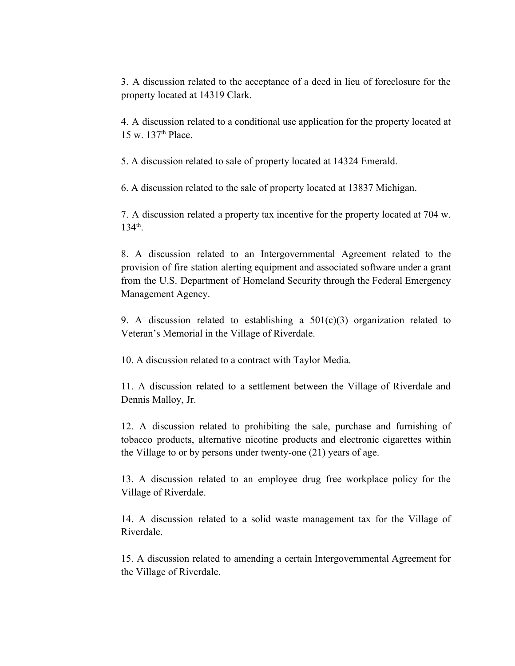3. A discussion related to the acceptance of a deed in lieu of foreclosure for the property located at 14319 Clark.

4. A discussion related to a conditional use application for the property located at 15 w. 137<sup>th</sup> Place.

5. A discussion related to sale of property located at 14324 Emerald.

6. A discussion related to the sale of property located at 13837 Michigan.

7. A discussion related a property tax incentive for the property located at 704 w. 134th .

8. A discussion related to an Intergovernmental Agreement related to the provision of fire station alerting equipment and associated software under a grant from the U.S. Department of Homeland Security through the Federal Emergency Management Agency.

9. A discussion related to establishing a  $501(c)(3)$  organization related to Veteran's Memorial in the Village of Riverdale.

10. A discussion related to a contract with Taylor Media.

11. A discussion related to a settlement between the Village of Riverdale and Dennis Malloy, Jr.

12. A discussion related to prohibiting the sale, purchase and furnishing of tobacco products, alternative nicotine products and electronic cigarettes within the Village to or by persons under twenty-one (21) years of age.

13. A discussion related to an employee drug free workplace policy for the Village of Riverdale.

14. A discussion related to a solid waste management tax for the Village of Riverdale.

15. A discussion related to amending a certain Intergovernmental Agreement for the Village of Riverdale.